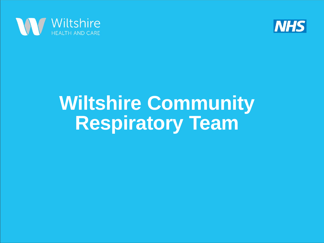



## **Wiltshire Community Respiratory Team**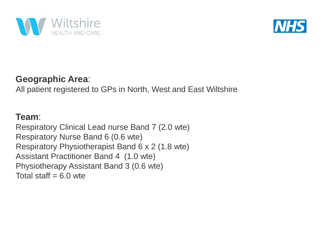



#### **Geographic Area**:

All patient registered to GPs in North, West and East Wiltshire

#### **Team**:

Respiratory Clinical Lead nurse Band 7 (2.0 wte) Respiratory Nurse Band 6 (0.6 wte) Respiratory Physiotherapist Band 6 x 2 (1.8 wte) Assistant Practitioner Band 4 (1.0 wte) Physiotherapy Assistant Band 3 (0.6 wte) Total staff  $= 6.0$  wte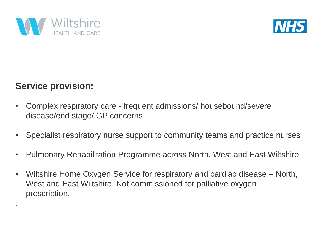



#### **Service provision:**

.

- Complex respiratory care frequent admissions/ housebound/severe disease/end stage/ GP concerns.
- Specialist respiratory nurse support to community teams and practice nurses
- Pulmonary Rehabilitation Programme across North, West and East Wiltshire
- Wiltshire Home Oxygen Service for respiratory and cardiac disease North, West and East Wiltshire. Not commissioned for palliative oxygen prescription.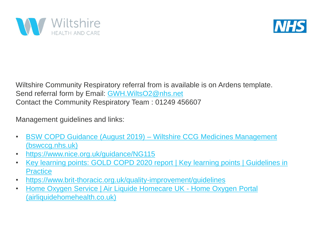



Wiltshire Community Respiratory referral from is available is on Ardens template. Send referral form by Email: [GWH.WiltsO2@nhs.net](mailto:GWH.WiltsO2@nhs.net) Contact the Community Respiratory Team : 01249 456607

Management guidelines and links:

- [BSW COPD Guidance \(August 2019\) –](https://prescribing.bswccg.nhs.uk/wpdm-package/bsw-copd-guidance-august-2019) Wiltshire CCG Medicines Management (bswccg.nhs.uk)
- <https://www.nice.org.uk/guidance/NG115>
- [Key learning points: GOLD COPD 2020 report | Key learning points | Guidelines in](https://www.guidelinesinpractice.co.uk/respiratory/key-learning-points-gold-copd-2020-report/455218.article) **Practice**
- <https://www.brit-thoracic.org.uk/quality-improvement/guidelines>
- [Home Oxygen Service | Air Liquide Homecare UK -](https://www.airliquidehomehealth.co.uk/hcp) Home Oxygen Portal (airliquidehomehealth.co.uk)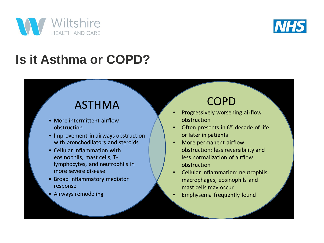



## **Is it Asthma or COPD?**

#### **ASTHMA**

- More intermittent airflow obstruction
- Improvement in airways obstruction with bronchodilators and steroids
- Cellular inflammation with eosinophils, mast cells, Tlymphocytes, and neutrophils in more severe disease
- Broad inflammatory mediator response
- · Airways remodeling

#### **COPD**

- Progressively worsening airflow obstruction
- Often presents in 6<sup>th</sup> decade of life or later in patients
- More permanent airflow  $\bullet$ obstruction; less reversibility and less normalization of airflow obstruction
- Cellular inflammation: neutrophils, macrophages, eosinophils and mast cells may occur
- Emphysema frequently found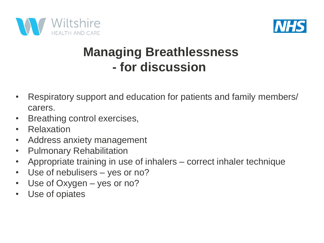



### **Managing Breathlessness - for discussion**

- Respiratory support and education for patients and family members/ carers.
- Breathing control exercises,
- Relaxation
- Address anxiety management
- Pulmonary Rehabilitation
- Appropriate training in use of inhalers correct inhaler technique
- Use of nebulisers yes or no?
- Use of Oxygen yes or no?
- Use of opiates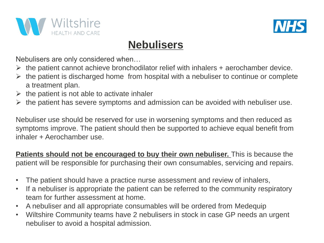



#### **Nebulisers**

Nebulisers are only considered when…

- $\triangleright$  the patient cannot achieve bronchodilator relief with inhalers + aerochamber device.
- $\triangleright$  the patient is discharged home from hospital with a nebuliser to continue or complete a treatment plan.
- $\triangleright$  the patient is not able to activate inhaler
- $\triangleright$  the patient has severe symptoms and admission can be avoided with nebuliser use.

Nebuliser use should be reserved for use in worsening symptoms and then reduced as symptoms improve. The patient should then be supported to achieve equal benefit from inhaler + Aerochamber use.

**Patients should not be encouraged to buy their own nebuliser.** This is because the patient will be responsible for purchasing their own consumables, servicing and repairs.

- The patient should have a practice nurse assessment and review of inhalers,
- If a nebuliser is appropriate the patient can be referred to the community respiratory team for further assessment at home.
- A nebuliser and all appropriate consumables will be ordered from Medequip
- Wiltshire Community teams have 2 nebulisers in stock in case GP needs an urgent nebuliser to avoid a hospital admission.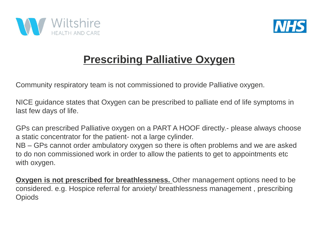



#### **Prescribing Palliative Oxygen**

Community respiratory team is not commissioned to provide Palliative oxygen.

NICE guidance states that Oxygen can be prescribed to palliate end of life symptoms in last few days of life.

GPs can prescribed Palliative oxygen on a PART A HOOF directly.- please always choose a static concentrator for the patient- not a large cylinder.

NB – GPs cannot order ambulatory oxygen so there is often problems and we are asked to do non commissioned work in order to allow the patients to get to appointments etc with oxygen.

**Oxygen is not prescribed for breathlessness.** Other management options need to be considered. e.g. Hospice referral for anxiety/ breathlessness management , prescribing **Opiods**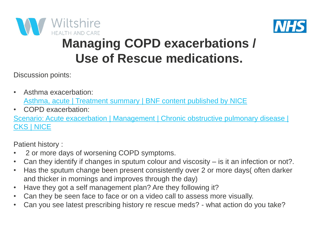



## **Managing COPD exacerbations / Use of Rescue medications.**

Discussion points:

- Asthma exacerbation: [Asthma, acute | Treatment summary | BNF content published by NICE](https://bnf.nice.org.uk/treatment-summary/asthma-acute.html)
- COPD exacerbation:

Scenario: Acute exacerbation | Management | Chronic obstructive pulmonary disease | CKS | NICE

Patient history :

- 2 or more days of worsening COPD symptoms.
- Can they identify if changes in sputum colour and viscosity is it an infection or not?.
- Has the sputum change been present consistently over 2 or more days( often darker and thicker in mornings and improves through the day)
- Have they got a self management plan? Are they following it?
- Can they be seen face to face or on a video call to assess more visually.
- Can you see latest prescribing history re rescue meds? what action do you take?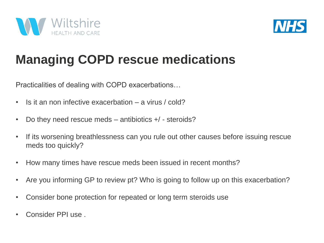



## **Managing COPD rescue medications**

Practicalities of dealing with COPD exacerbations…

- Is it an non infective exacerbation a virus / cold?
- Do they need rescue meds antibiotics +/ steroids?
- If its worsening breathlessness can you rule out other causes before issuing rescue meds too quickly?
- How many times have rescue meds been issued in recent months?
- Are you informing GP to review pt? Who is going to follow up on this exacerbation?
- Consider bone protection for repeated or long term steroids use
- Consider PPI use .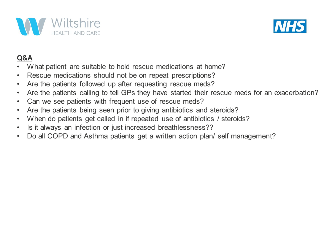



#### Q&A

- What patient are suitable to hold rescue medications at home?
- Rescue medications should not be on repeat prescriptions?  $\bullet$
- Are the patients followed up after requesting rescue meds?  $\bullet$
- Are the patients calling to tell GPs they have started their rescue meds for an exacerbation?  $\bullet$
- Can we see patients with frequent use of rescue meds?  $\bullet$
- Are the patients being seen prior to giving antibiotics and steroids?  $\bullet$
- When do patients get called in if repeated use of antibiotics / steroids?  $\bullet$
- Is it always an infection or just increased breathlessness??  $\bullet$
- Do all COPD and Asthma patients get a written action plan/ self management?  $\bullet$